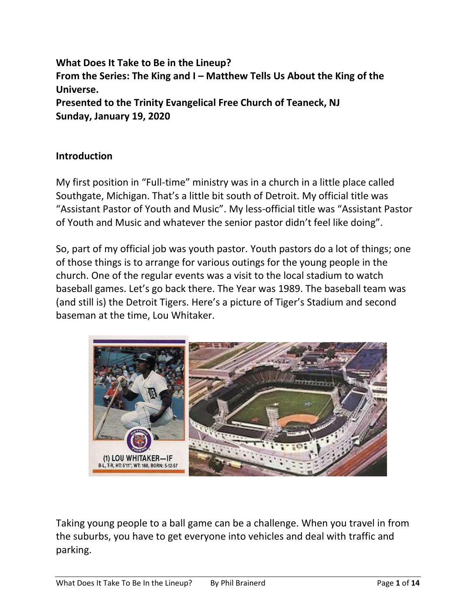**What Does It Take to Be in the Lineup? From the Series: The King and I – Matthew Tells Us About the King of the Universe. Presented to the Trinity Evangelical Free Church of Teaneck, NJ Sunday, January 19, 2020**

## **Introduction**

My first position in "Full-time" ministry was in a church in a little place called Southgate, Michigan. That's a little bit south of Detroit. My official title was "Assistant Pastor of Youth and Music". My less-official title was "Assistant Pastor of Youth and Music and whatever the senior pastor didn't feel like doing".

So, part of my official job was youth pastor. Youth pastors do a lot of things; one of those things is to arrange for various outings for the young people in the church. One of the regular events was a visit to the local stadium to watch baseball games. Let's go back there. The Year was 1989. The baseball team was (and still is) the Detroit Tigers. Here's a picture of Tiger's Stadium and second baseman at the time, Lou Whitaker.



Taking young people to a ball game can be a challenge. When you travel in from the suburbs, you have to get everyone into vehicles and deal with traffic and parking.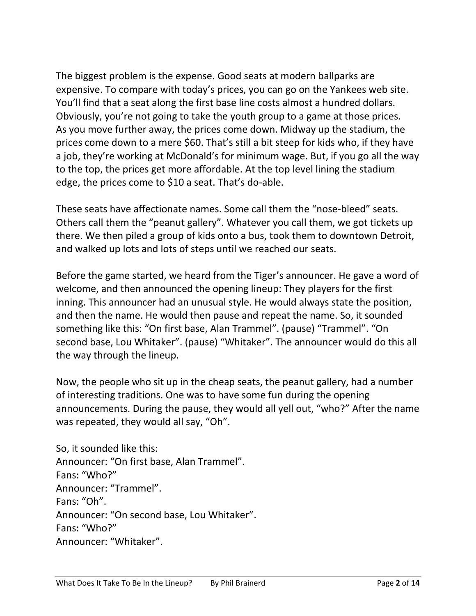The biggest problem is the expense. Good seats at modern ballparks are expensive. To compare with today's prices, you can go on the Yankees web site. You'll find that a seat along the first base line costs almost a hundred dollars. Obviously, you're not going to take the youth group to a game at those prices. As you move further away, the prices come down. Midway up the stadium, the prices come down to a mere \$60. That's still a bit steep for kids who, if they have a job, they're working at McDonald's for minimum wage. But, if you go all the way to the top, the prices get more affordable. At the top level lining the stadium edge, the prices come to \$10 a seat. That's do-able.

These seats have affectionate names. Some call them the "nose-bleed" seats. Others call them the "peanut gallery". Whatever you call them, we got tickets up there. We then piled a group of kids onto a bus, took them to downtown Detroit, and walked up lots and lots of steps until we reached our seats.

Before the game started, we heard from the Tiger's announcer. He gave a word of welcome, and then announced the opening lineup: They players for the first inning. This announcer had an unusual style. He would always state the position, and then the name. He would then pause and repeat the name. So, it sounded something like this: "On first base, Alan Trammel". (pause) "Trammel". "On second base, Lou Whitaker". (pause) "Whitaker". The announcer would do this all the way through the lineup.

Now, the people who sit up in the cheap seats, the peanut gallery, had a number of interesting traditions. One was to have some fun during the opening announcements. During the pause, they would all yell out, "who?" After the name was repeated, they would all say, "Oh".

So, it sounded like this: Announcer: "On first base, Alan Trammel". Fans: "Who?" Announcer: "Trammel". Fans: "Oh". Announcer: "On second base, Lou Whitaker". Fans: "Who?" Announcer: "Whitaker".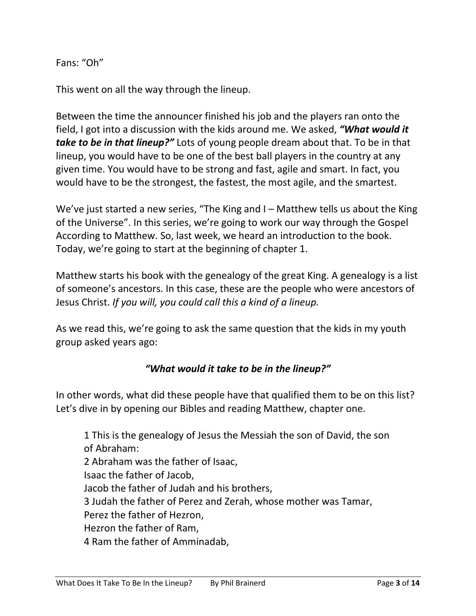Fans: "Oh"

This went on all the way through the lineup.

Between the time the announcer finished his job and the players ran onto the field, I got into a discussion with the kids around me. We asked, *"What would it take to be in that lineup?"* Lots of young people dream about that. To be in that lineup, you would have to be one of the best ball players in the country at any given time. You would have to be strong and fast, agile and smart. In fact, you would have to be the strongest, the fastest, the most agile, and the smartest.

We've just started a new series, "The King and I – Matthew tells us about the King of the Universe". In this series, we're going to work our way through the Gospel According to Matthew. So, last week, we heard an introduction to the book. Today, we're going to start at the beginning of chapter 1.

Matthew starts his book with the genealogy of the great King. A genealogy is a list of someone's ancestors. In this case, these are the people who were ancestors of Jesus Christ. *If you will, you could call this a kind of a lineup.*

As we read this, we're going to ask the same question that the kids in my youth group asked years ago:

## *"What would it take to be in the lineup?"*

In other words, what did these people have that qualified them to be on this list? Let's dive in by opening our Bibles and reading Matthew, chapter one.

1 This is the genealogy of Jesus the Messiah the son of David, the son of Abraham: 2 Abraham was the father of Isaac, Isaac the father of Jacob, Jacob the father of Judah and his brothers, 3 Judah the father of Perez and Zerah, whose mother was Tamar, Perez the father of Hezron, Hezron the father of Ram, 4 Ram the father of Amminadab,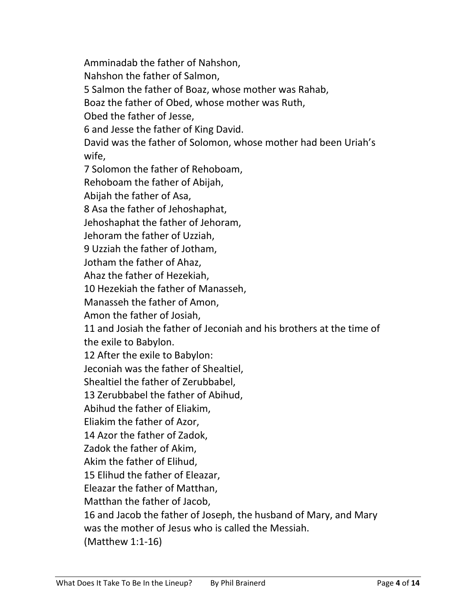Amminadab the father of Nahshon, Nahshon the father of Salmon, 5 Salmon the father of Boaz, whose mother was Rahab, Boaz the father of Obed, whose mother was Ruth, Obed the father of Jesse, 6 and Jesse the father of King David. David was the father of Solomon, whose mother had been Uriah's wife, 7 Solomon the father of Rehoboam, Rehoboam the father of Abijah, Abijah the father of Asa, 8 Asa the father of Jehoshaphat, Jehoshaphat the father of Jehoram, Jehoram the father of Uzziah, 9 Uzziah the father of Jotham, Jotham the father of Ahaz, Ahaz the father of Hezekiah, 10 Hezekiah the father of Manasseh, Manasseh the father of Amon, Amon the father of Josiah, 11 and Josiah the father of Jeconiah and his brothers at the time of the exile to Babylon. 12 After the exile to Babylon: Jeconiah was the father of Shealtiel, Shealtiel the father of Zerubbabel, 13 Zerubbabel the father of Abihud, Abihud the father of Eliakim, Eliakim the father of Azor, 14 Azor the father of Zadok, Zadok the father of Akim, Akim the father of Elihud, 15 Elihud the father of Eleazar, Eleazar the father of Matthan, Matthan the father of Jacob, 16 and Jacob the father of Joseph, the husband of Mary, and Mary was the mother of Jesus who is called the Messiah. (Matthew 1:1-16)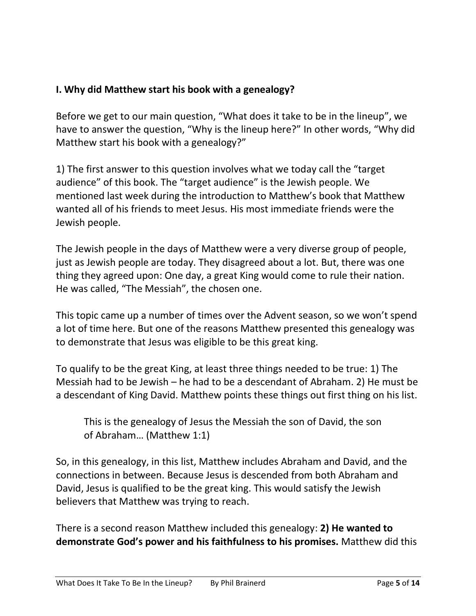# **I. Why did Matthew start his book with a genealogy?**

Before we get to our main question, "What does it take to be in the lineup", we have to answer the question, "Why is the lineup here?" In other words, "Why did Matthew start his book with a genealogy?"

1) The first answer to this question involves what we today call the "target audience" of this book. The "target audience" is the Jewish people. We mentioned last week during the introduction to Matthew's book that Matthew wanted all of his friends to meet Jesus. His most immediate friends were the Jewish people.

The Jewish people in the days of Matthew were a very diverse group of people, just as Jewish people are today. They disagreed about a lot. But, there was one thing they agreed upon: One day, a great King would come to rule their nation. He was called, "The Messiah", the chosen one.

This topic came up a number of times over the Advent season, so we won't spend a lot of time here. But one of the reasons Matthew presented this genealogy was to demonstrate that Jesus was eligible to be this great king.

To qualify to be the great King, at least three things needed to be true: 1) The Messiah had to be Jewish – he had to be a descendant of Abraham. 2) He must be a descendant of King David. Matthew points these things out first thing on his list.

This is the genealogy of Jesus the Messiah the son of David, the son of Abraham… (Matthew 1:1)

So, in this genealogy, in this list, Matthew includes Abraham and David, and the connections in between. Because Jesus is descended from both Abraham and David, Jesus is qualified to be the great king. This would satisfy the Jewish believers that Matthew was trying to reach.

There is a second reason Matthew included this genealogy: **2) He wanted to demonstrate God's power and his faithfulness to his promises.** Matthew did this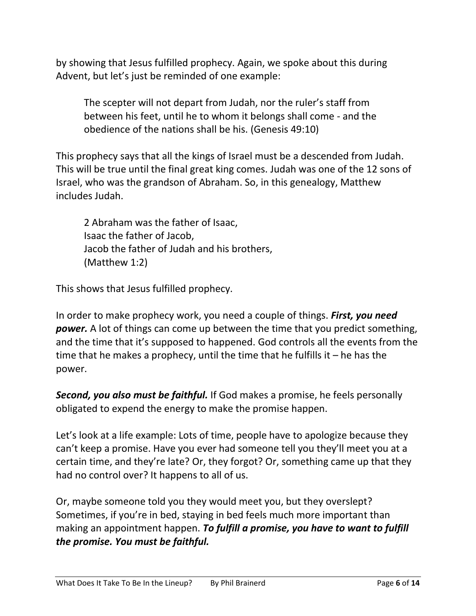by showing that Jesus fulfilled prophecy. Again, we spoke about this during Advent, but let's just be reminded of one example:

The scepter will not depart from Judah, nor the ruler's staff from between his feet, until he to whom it belongs shall come - and the obedience of the nations shall be his. (Genesis 49:10)

This prophecy says that all the kings of Israel must be a descended from Judah. This will be true until the final great king comes. Judah was one of the 12 sons of Israel, who was the grandson of Abraham. So, in this genealogy, Matthew includes Judah.

2 Abraham was the father of Isaac, Isaac the father of Jacob, Jacob the father of Judah and his brothers, (Matthew 1:2)

This shows that Jesus fulfilled prophecy.

In order to make prophecy work, you need a couple of things. *First, you need power.* A lot of things can come up between the time that you predict something, and the time that it's supposed to happened. God controls all the events from the time that he makes a prophecy, until the time that he fulfills it – he has the power.

*Second, you also must be faithful.* If God makes a promise, he feels personally obligated to expend the energy to make the promise happen.

Let's look at a life example: Lots of time, people have to apologize because they can't keep a promise. Have you ever had someone tell you they'll meet you at a certain time, and they're late? Or, they forgot? Or, something came up that they had no control over? It happens to all of us.

Or, maybe someone told you they would meet you, but they overslept? Sometimes, if you're in bed, staying in bed feels much more important than making an appointment happen. *To fulfill a promise, you have to want to fulfill the promise. You must be faithful.*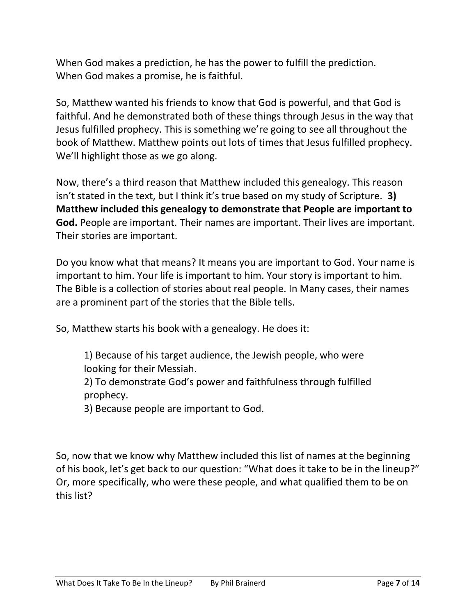When God makes a prediction, he has the power to fulfill the prediction. When God makes a promise, he is faithful.

So, Matthew wanted his friends to know that God is powerful, and that God is faithful. And he demonstrated both of these things through Jesus in the way that Jesus fulfilled prophecy. This is something we're going to see all throughout the book of Matthew. Matthew points out lots of times that Jesus fulfilled prophecy. We'll highlight those as we go along.

Now, there's a third reason that Matthew included this genealogy. This reason isn't stated in the text, but I think it's true based on my study of Scripture. **3) Matthew included this genealogy to demonstrate that People are important to God.** People are important. Their names are important. Their lives are important. Their stories are important.

Do you know what that means? It means you are important to God. Your name is important to him. Your life is important to him. Your story is important to him. The Bible is a collection of stories about real people. In Many cases, their names are a prominent part of the stories that the Bible tells.

So, Matthew starts his book with a genealogy. He does it:

1) Because of his target audience, the Jewish people, who were looking for their Messiah.

2) To demonstrate God's power and faithfulness through fulfilled prophecy.

3) Because people are important to God.

So, now that we know why Matthew included this list of names at the beginning of his book, let's get back to our question: "What does it take to be in the lineup?" Or, more specifically, who were these people, and what qualified them to be on this list?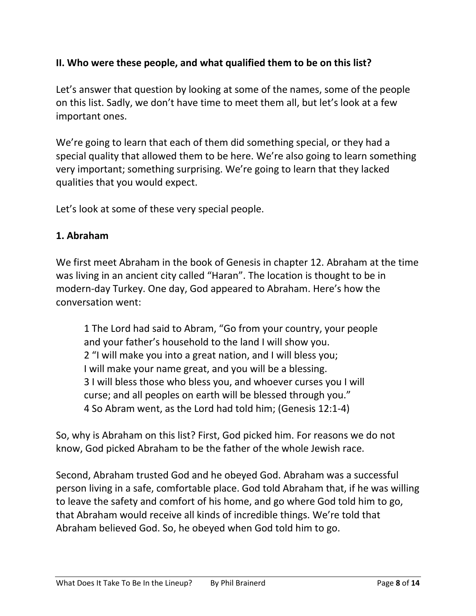## **II. Who were these people, and what qualified them to be on this list?**

Let's answer that question by looking at some of the names, some of the people on this list. Sadly, we don't have time to meet them all, but let's look at a few important ones.

We're going to learn that each of them did something special, or they had a special quality that allowed them to be here. We're also going to learn something very important; something surprising. We're going to learn that they lacked qualities that you would expect.

Let's look at some of these very special people.

#### **1. Abraham**

We first meet Abraham in the book of Genesis in chapter 12. Abraham at the time was living in an ancient city called "Haran". The location is thought to be in modern-day Turkey. One day, God appeared to Abraham. Here's how the conversation went:

1 The Lord had said to Abram, "Go from your country, your people and your father's household to the land I will show you. 2 "I will make you into a great nation, and I will bless you; I will make your name great, and you will be a blessing. 3 I will bless those who bless you, and whoever curses you I will curse; and all peoples on earth will be blessed through you." 4 So Abram went, as the Lord had told him; (Genesis 12:1-4)

So, why is Abraham on this list? First, God picked him. For reasons we do not know, God picked Abraham to be the father of the whole Jewish race.

Second, Abraham trusted God and he obeyed God. Abraham was a successful person living in a safe, comfortable place. God told Abraham that, if he was willing to leave the safety and comfort of his home, and go where God told him to go, that Abraham would receive all kinds of incredible things. We're told that Abraham believed God. So, he obeyed when God told him to go.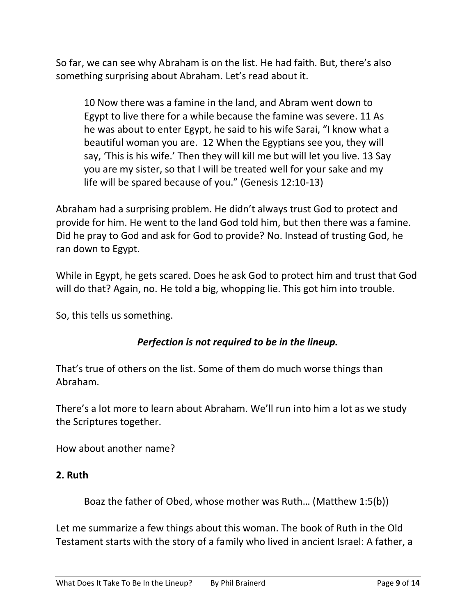So far, we can see why Abraham is on the list. He had faith. But, there's also something surprising about Abraham. Let's read about it.

10 Now there was a famine in the land, and Abram went down to Egypt to live there for a while because the famine was severe. 11 As he was about to enter Egypt, he said to his wife Sarai, "I know what a beautiful woman you are. 12 When the Egyptians see you, they will say, 'This is his wife.' Then they will kill me but will let you live. 13 Say you are my sister, so that I will be treated well for your sake and my life will be spared because of you." (Genesis 12:10-13)

Abraham had a surprising problem. He didn't always trust God to protect and provide for him. He went to the land God told him, but then there was a famine. Did he pray to God and ask for God to provide? No. Instead of trusting God, he ran down to Egypt.

While in Egypt, he gets scared. Does he ask God to protect him and trust that God will do that? Again, no. He told a big, whopping lie. This got him into trouble.

So, this tells us something.

## *Perfection is not required to be in the lineup.*

That's true of others on the list. Some of them do much worse things than Abraham.

There's a lot more to learn about Abraham. We'll run into him a lot as we study the Scriptures together.

How about another name?

### **2. Ruth**

Boaz the father of Obed, whose mother was Ruth… (Matthew 1:5(b))

Let me summarize a few things about this woman. The book of Ruth in the Old Testament starts with the story of a family who lived in ancient Israel: A father, a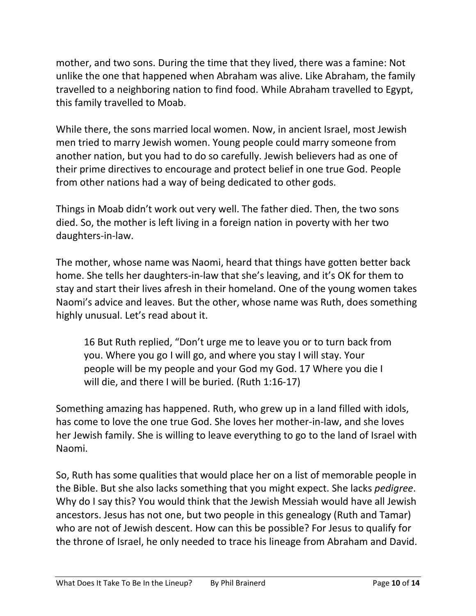mother, and two sons. During the time that they lived, there was a famine: Not unlike the one that happened when Abraham was alive. Like Abraham, the family travelled to a neighboring nation to find food. While Abraham travelled to Egypt, this family travelled to Moab.

While there, the sons married local women. Now, in ancient Israel, most Jewish men tried to marry Jewish women. Young people could marry someone from another nation, but you had to do so carefully. Jewish believers had as one of their prime directives to encourage and protect belief in one true God. People from other nations had a way of being dedicated to other gods.

Things in Moab didn't work out very well. The father died. Then, the two sons died. So, the mother is left living in a foreign nation in poverty with her two daughters-in-law.

The mother, whose name was Naomi, heard that things have gotten better back home. She tells her daughters-in-law that she's leaving, and it's OK for them to stay and start their lives afresh in their homeland. One of the young women takes Naomi's advice and leaves. But the other, whose name was Ruth, does something highly unusual. Let's read about it.

16 But Ruth replied, "Don't urge me to leave you or to turn back from you. Where you go I will go, and where you stay I will stay. Your people will be my people and your God my God. 17 Where you die I will die, and there I will be buried. (Ruth 1:16-17)

Something amazing has happened. Ruth, who grew up in a land filled with idols, has come to love the one true God. She loves her mother-in-law, and she loves her Jewish family. She is willing to leave everything to go to the land of Israel with Naomi.

So, Ruth has some qualities that would place her on a list of memorable people in the Bible. But she also lacks something that you might expect. She lacks *pedigree*. Why do I say this? You would think that the Jewish Messiah would have all Jewish ancestors. Jesus has not one, but two people in this genealogy (Ruth and Tamar) who are not of Jewish descent. How can this be possible? For Jesus to qualify for the throne of Israel, he only needed to trace his lineage from Abraham and David.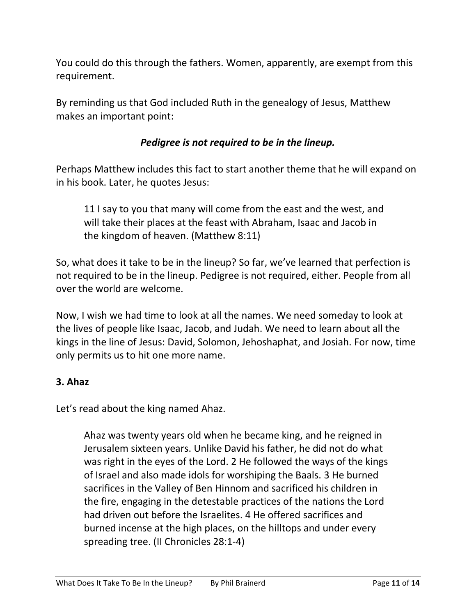You could do this through the fathers. Women, apparently, are exempt from this requirement.

By reminding us that God included Ruth in the genealogy of Jesus, Matthew makes an important point:

## *Pedigree is not required to be in the lineup.*

Perhaps Matthew includes this fact to start another theme that he will expand on in his book. Later, he quotes Jesus:

11 I say to you that many will come from the east and the west, and will take their places at the feast with Abraham, Isaac and Jacob in the kingdom of heaven. (Matthew 8:11)

So, what does it take to be in the lineup? So far, we've learned that perfection is not required to be in the lineup. Pedigree is not required, either. People from all over the world are welcome.

Now, I wish we had time to look at all the names. We need someday to look at the lives of people like Isaac, Jacob, and Judah. We need to learn about all the kings in the line of Jesus: David, Solomon, Jehoshaphat, and Josiah. For now, time only permits us to hit one more name.

## **3. Ahaz**

Let's read about the king named Ahaz.

Ahaz was twenty years old when he became king, and he reigned in Jerusalem sixteen years. Unlike David his father, he did not do what was right in the eyes of the Lord. 2 He followed the ways of the kings of Israel and also made idols for worshiping the Baals. 3 He burned sacrifices in the Valley of Ben Hinnom and sacrificed his children in the fire, engaging in the detestable practices of the nations the Lord had driven out before the Israelites. 4 He offered sacrifices and burned incense at the high places, on the hilltops and under every spreading tree. (II Chronicles 28:1-4)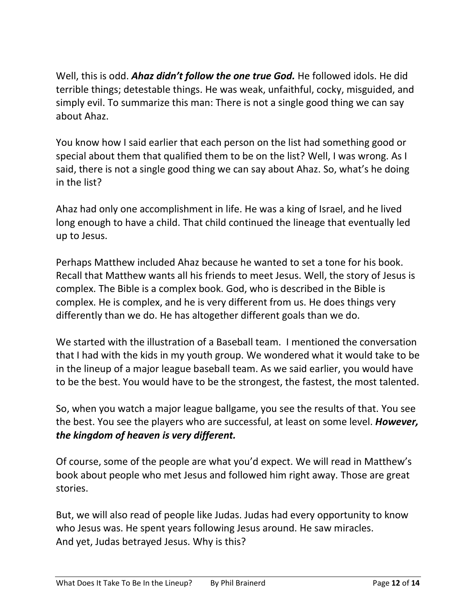Well, this is odd. *Ahaz didn't follow the one true God.* He followed idols. He did terrible things; detestable things. He was weak, unfaithful, cocky, misguided, and simply evil. To summarize this man: There is not a single good thing we can say about Ahaz.

You know how I said earlier that each person on the list had something good or special about them that qualified them to be on the list? Well, I was wrong. As I said, there is not a single good thing we can say about Ahaz. So, what's he doing in the list?

Ahaz had only one accomplishment in life. He was a king of Israel, and he lived long enough to have a child. That child continued the lineage that eventually led up to Jesus.

Perhaps Matthew included Ahaz because he wanted to set a tone for his book. Recall that Matthew wants all his friends to meet Jesus. Well, the story of Jesus is complex. The Bible is a complex book. God, who is described in the Bible is complex. He is complex, and he is very different from us. He does things very differently than we do. He has altogether different goals than we do.

We started with the illustration of a Baseball team. I mentioned the conversation that I had with the kids in my youth group. We wondered what it would take to be in the lineup of a major league baseball team. As we said earlier, you would have to be the best. You would have to be the strongest, the fastest, the most talented.

So, when you watch a major league ballgame, you see the results of that. You see the best. You see the players who are successful, at least on some level. *However, the kingdom of heaven is very different.*

Of course, some of the people are what you'd expect. We will read in Matthew's book about people who met Jesus and followed him right away. Those are great stories.

But, we will also read of people like Judas. Judas had every opportunity to know who Jesus was. He spent years following Jesus around. He saw miracles. And yet, Judas betrayed Jesus. Why is this?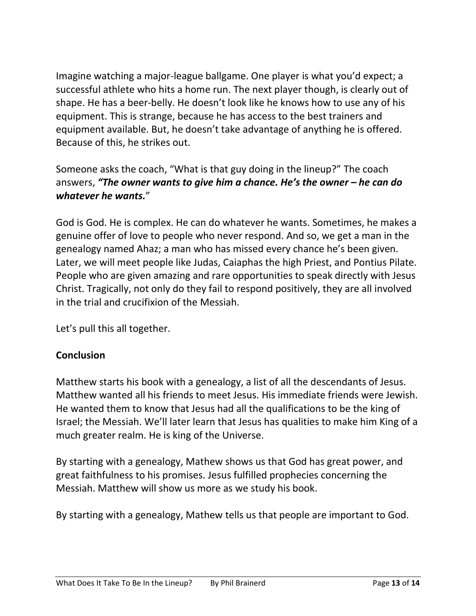Imagine watching a major-league ballgame. One player is what you'd expect; a successful athlete who hits a home run. The next player though, is clearly out of shape. He has a beer-belly. He doesn't look like he knows how to use any of his equipment. This is strange, because he has access to the best trainers and equipment available. But, he doesn't take advantage of anything he is offered. Because of this, he strikes out.

Someone asks the coach, "What is that guy doing in the lineup?" The coach answers, *"The owner wants to give him a chance. He's the owner – he can do whatever he wants.*"

God is God. He is complex. He can do whatever he wants. Sometimes, he makes a genuine offer of love to people who never respond. And so, we get a man in the genealogy named Ahaz; a man who has missed every chance he's been given. Later, we will meet people like Judas, Caiaphas the high Priest, and Pontius Pilate. People who are given amazing and rare opportunities to speak directly with Jesus Christ. Tragically, not only do they fail to respond positively, they are all involved in the trial and crucifixion of the Messiah.

Let's pull this all together.

### **Conclusion**

Matthew starts his book with a genealogy, a list of all the descendants of Jesus. Matthew wanted all his friends to meet Jesus. His immediate friends were Jewish. He wanted them to know that Jesus had all the qualifications to be the king of Israel; the Messiah. We'll later learn that Jesus has qualities to make him King of a much greater realm. He is king of the Universe.

By starting with a genealogy, Mathew shows us that God has great power, and great faithfulness to his promises. Jesus fulfilled prophecies concerning the Messiah. Matthew will show us more as we study his book.

By starting with a genealogy, Mathew tells us that people are important to God.